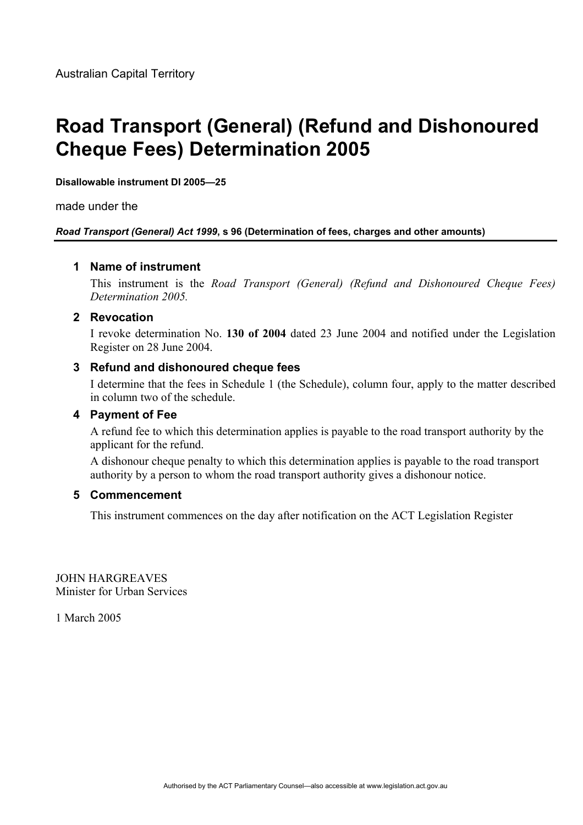# **Road Transport (General) (Refund and Dishonoured Cheque Fees) Determination 2005**

#### **Disallowable instrument DI 2005—25**

made under the

#### *Road Transport (General) Act 1999***, s 96 (Determination of fees, charges and other amounts)**

## **1 Name of instrument**

This instrument is the *Road Transport (General) (Refund and Dishonoured Cheque Fees) Determination 2005.* 

## **2 Revocation**

I revoke determination No. **130 of 2004** dated 23 June 2004 and notified under the Legislation Register on 28 June 2004.

## **3 Refund and dishonoured cheque fees**

I determine that the fees in Schedule 1 (the Schedule), column four, apply to the matter described in column two of the schedule.

### **4 Payment of Fee**

A refund fee to which this determination applies is payable to the road transport authority by the applicant for the refund.

A dishonour cheque penalty to which this determination applies is payable to the road transport authority by a person to whom the road transport authority gives a dishonour notice.

#### **5 Commencement**

This instrument commences on the day after notification on the ACT Legislation Register

JOHN HARGREAVES Minister for Urban Services

1 March 2005